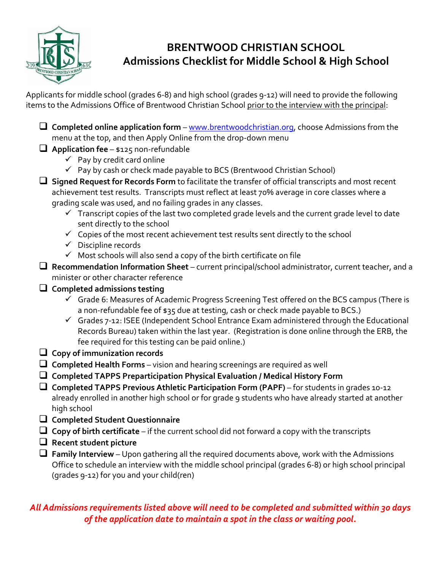

## **BRENTWOOD CHRISTIAN SCHOOL Admissions Checklist for Middle School & High School**

Applicants for middle school (grades 6-8) and high school (grades 9-12) will need to provide the following items to the Admissions Office of Brentwood Christian School prior to the interview with the principal:

❑ **Completed online application form** – [www.brentwoodchristian.org,](http://www.brentwoodchristian.org/) choose Admissions from the menu at the top, and then Apply Online from the drop-down menu

## ❑ **Application fee** – \$125 non-refundable

- $\checkmark$  Pay by credit card online
- $\checkmark$  Pay by cash or check made payable to BCS (Brentwood Christian School)
- ❑ **Signed Request for Records Form** to facilitate the transfer of official transcripts and most recent achievement test results. Transcripts must reflect at least 70% average in core classes where a grading scale was used, and no failing grades in any classes.
	- $\checkmark$  Transcript copies of the last two completed grade levels and the current grade level to date sent directly to the school
	- $\checkmark$  Copies of the most recent achievement test results sent directly to the school
	- ✓ Discipline records
	- $\checkmark$  Most schools will also send a copy of the birth certificate on file
- ❑ **Recommendation Information Sheet** current principal/school administrator, current teacher, and a minister or other character reference
- ❑ **Completed admissions testing** 
	- ✓ Grade 6: Measures of Academic Progress Screening Test offered on the BCS campus (There is a non-refundable fee of \$35 due at testing, cash or check made payable to BCS.)
	- $\checkmark$  Grades 7-12: ISEE (Independent School Entrance Exam administered through the Educational Records Bureau) taken within the last year. (Registration is done online through the ERB, the fee required for this testing can be paid online.)
- ❑ **Copy of immunization records**
- ❑ **Completed Health Forms** vision and hearing screenings are required as well
- ❑ **Completed TAPPS Preparticipation Physical Evaluation / Medical History Form**
- ❑ **Completed TAPPS Previous Athletic Participation Form (PAPF)** for students in grades 10-12 already enrolled in another high school or for grade 9 students who have already started at another high school
- ❑ **Completed Student Questionnaire**
- ❑ **Copy of birth certificate** if the current school did not forward a copy with the transcripts
- ❑ **Recent student picture**
- ❑ **Family Interview** Upon gathering all the required documents above, work with the Admissions Office to schedule an interview with the middle school principal (grades 6-8) or high school principal (grades 9-12) for you and your child(ren)

## *All Admissions requirements listed above will need to be completed and submitted within 30 days of the application date to maintain a spot in the class or waiting pool.*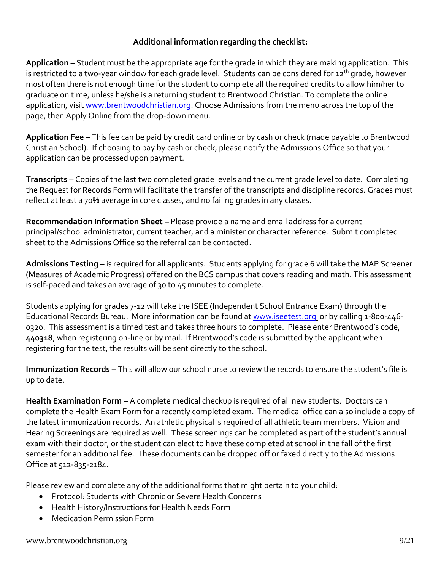## **Additional information regarding the checklist:**

**Application** – Student must be the appropriate age for the grade in which they are making application. This is restricted to a two-year window for each grade level. Students can be considered for 12<sup>th</sup> grade, however most often there is not enough time for the student to complete all the required credits to allow him/her to graduate on time, unless he/she is a returning student to Brentwood Christian. To complete the online application, visit [www.brentwoodchristian.org.](http://www.brentwoodchristian.org/) Choose Admissions from the menu across the top of the page, then Apply Online from the drop-down menu.

**Application Fee** – This fee can be paid by credit card online or by cash or check (made payable to Brentwood Christian School). If choosing to pay by cash or check, please notify the Admissions Office so that your application can be processed upon payment.

**Transcripts** – Copies of the last two completed grade levels and the current grade level to date. Completing the Request for Records Form will facilitate the transfer of the transcripts and discipline records. Grades must reflect at least a 70% average in core classes, and no failing grades in any classes.

**Recommendation Information Sheet –** Please provide a name and email address for a current principal/school administrator, current teacher, and a minister or character reference. Submit completed sheet to the Admissions Office so the referral can be contacted.

**Admissions Testing** – is required for all applicants. Students applying for grade 6 will take the MAP Screener (Measures of Academic Progress) offered on the BCS campus that covers reading and math. This assessment is self-paced and takes an average of 30 to 45 minutes to complete.

Students applying for grades 7-12 will take the ISEE (Independent School Entrance Exam) through the Educational Records Bureau. More information can be found a[t www.iseetest.org](http://www.iseetest.org/) or by calling 1-800-446-0320. This assessment is a timed test and takes three hours to complete. Please enter Brentwood's code, **440318**, when registering on-line or by mail. If Brentwood's code is submitted by the applicant when registering for the test, the results will be sent directly to the school.

**Immunization Records –** This will allow our school nurse to review the records to ensure the student's file is up to date.

**Health Examination Form** – A complete medical checkup is required of all new students. Doctors can complete the Health Exam Form for a recently completed exam. The medical office can also include a copy of the latest immunization records. An athletic physical is required of all athletic team members. Vision and Hearing Screenings are required as well. These screenings can be completed as part of the student's annual exam with their doctor, or the student can elect to have these completed at school in the fall of the first semester for an additional fee. These documents can be dropped off or faxed directly to the Admissions Office at 512-835-2184.

Please review and complete any of the additional forms that might pertain to your child:

- Protocol: Students with Chronic or Severe Health Concerns
- Health History/Instructions for Health Needs Form
- Medication Permission Form